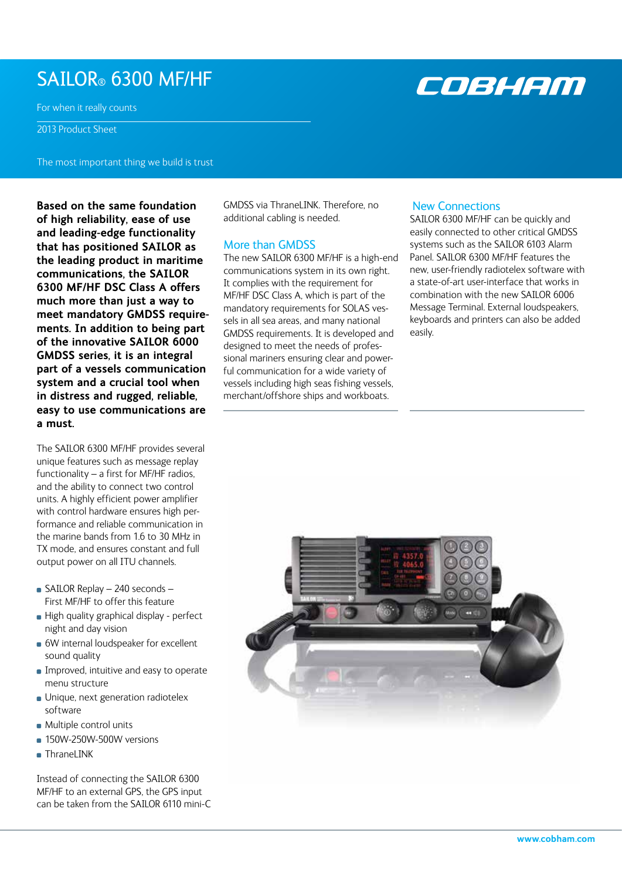## SAILOR® 6300 MF/HF

For when it really counts

2013 Product Sheet

The most important thing we build is trust

**Based on the same foundation of high reliability, ease of use and leading-edge functionality that has positioned SAILOR as the leading product in maritime communications, the SAILOR 6300 MF/HF DSC Class A offers much more than just a way to meet mandatory GMDSS requirements. In addition to being part of the innovative SAILOR 6000 GMDSS series, it is an integral part of a vessels communication system and a crucial tool when in distress and rugged, reliable, easy to use communications are a must.** 

The SAILOR 6300 MF/HF provides several unique features such as message replay functionality – a first for MF/HF radios, and the ability to connect two control units. A highly efficient power amplifier with control hardware ensures high performance and reliable communication in the marine bands from 1.6 to 30 MHz in TX mode, and ensures constant and full output power on all ITU channels.

- SAILOR Replay 240 seconds -First MF/HF to offer this feature
- High quality graphical display perfect night and day vision
- **6W** internal loudspeaker for excellent sound quality
- **Improved, intuitive and easy to operate** menu structure
- **Unique, next generation radiotelex** software
- **Multiple control units**
- 150W-250W-500W versions
- ThraneLINK

Instead of connecting the SAILOR 6300 MF/HF to an external GPS, the GPS input can be taken from the SAILOR 6110 mini-C GMDSS via ThraneLINK. Therefore, no additional cabling is needed.

### More than GMDSS

The new SAILOR 6300 MF/HF is a high-end communications system in its own right. It complies with the requirement for MF/HF DSC Class A, which is part of the mandatory requirements for SOLAS vessels in all sea areas, and many national GMDSS requirements. It is developed and designed to meet the needs of professional mariners ensuring clear and powerful communication for a wide variety of vessels including high seas fishing vessels, merchant/offshore ships and workboats.

#### New Connections

SAILOR 6300 MF/HF can be quickly and easily connected to other critical GMDSS systems such as the SAILOR 6103 Alarm Panel. SAILOR 6300 MF/HF features the new, user-friendly radiotelex software with a state-of-art user-interface that works in combination with the new SAILOR 6006 Message Terminal. External loudspeakers, keyboards and printers can also be added easily.



# COBHAM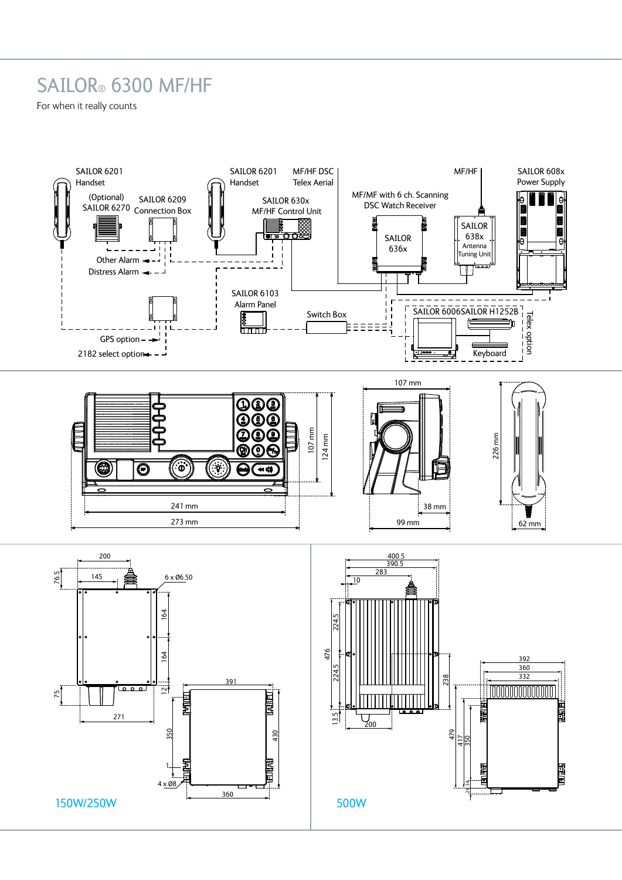## SAILOR® 6300 MF/HF

For when it really counts

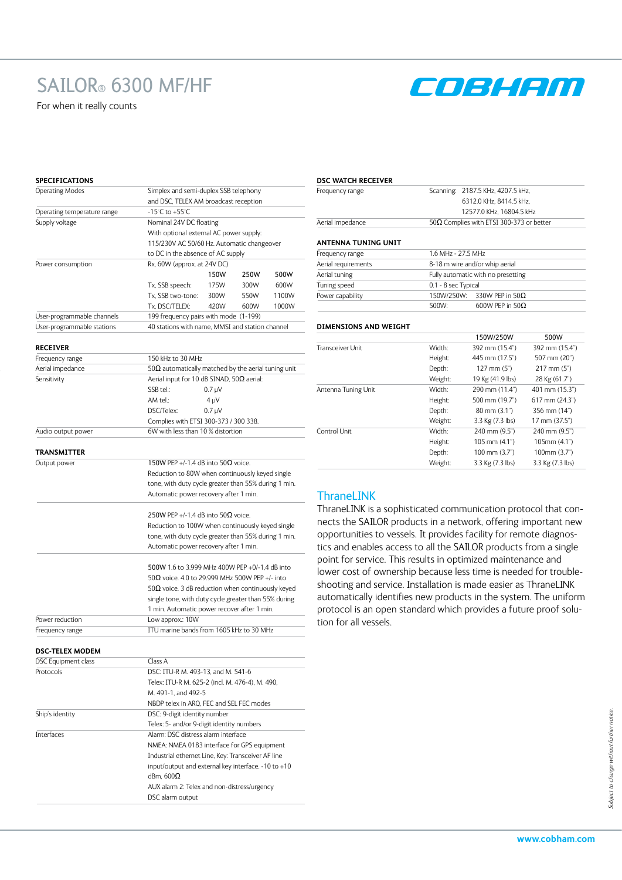# SAILOR® 6300 MF/HF

For when it really counts



#### **SPECIFICATIONS**

| <b>Operating Modes</b>             | Simplex and semi-duplex SSB telephony                                                                            |  |  |  |
|------------------------------------|------------------------------------------------------------------------------------------------------------------|--|--|--|
|                                    | and DSC, TELEX AM broadcast reception                                                                            |  |  |  |
| Operating temperature range        | $-15^{\circ}$ C to $+55^{\circ}$ C                                                                               |  |  |  |
| Supply voltage                     | Nominal 24V DC floating                                                                                          |  |  |  |
|                                    | With optional external AC power supply:                                                                          |  |  |  |
|                                    | 115/230V AC 50/60 Hz. Automatic changeover                                                                       |  |  |  |
|                                    | to DC in the absence of AC supply                                                                                |  |  |  |
| Power consumption                  | Rx, 60W (approx. at 24V DC)                                                                                      |  |  |  |
|                                    | 150W<br>250W<br>500W                                                                                             |  |  |  |
|                                    | Tx, SSB speech:<br>175W<br>300W<br>600W                                                                          |  |  |  |
|                                    | Tx, SSB two-tone:<br>300W<br>550W<br>1100W                                                                       |  |  |  |
|                                    | Tx. DSC/TELEX:<br>420W<br>600W<br>1000W                                                                          |  |  |  |
| User-programmable channels         | 199 frequency pairs with mode (1-199)                                                                            |  |  |  |
| User-programmable stations         | 40 stations with name, MMSI and station channel                                                                  |  |  |  |
|                                    |                                                                                                                  |  |  |  |
| <b>RECEIVER</b><br>Frequency range | 150 kHz to 30 MHz                                                                                                |  |  |  |
| Aerial impedance                   |                                                                                                                  |  |  |  |
| Sensitivity                        | 50 $\Omega$ automatically matched by the aerial tuning unit<br>Aerial input for 10 dB SINAD, 50 $\Omega$ aerial: |  |  |  |
|                                    | SSB tel.:<br>$0.7 \mu V$                                                                                         |  |  |  |
|                                    | AM tel.:<br>$4 \mu V$                                                                                            |  |  |  |
|                                    |                                                                                                                  |  |  |  |
|                                    | DSC/Telex:<br>$0.7 \mu V$                                                                                        |  |  |  |
|                                    | Complies with ETSI 300-373 / 300 338.<br>6W with less than 10 % distortion                                       |  |  |  |
| Audio output power                 |                                                                                                                  |  |  |  |
| TRANSMITTER                        |                                                                                                                  |  |  |  |
| Output power                       | 150W PEP +/-1.4 dB into 50 $\Omega$ voice.                                                                       |  |  |  |
|                                    | Reduction to 80W when continuously keyed single                                                                  |  |  |  |
|                                    | tone, with duty cycle greater than 55% during 1 min.                                                             |  |  |  |
|                                    | Automatic power recovery after 1 min.                                                                            |  |  |  |
|                                    |                                                                                                                  |  |  |  |
|                                    | 250W PEP +/-1.4 dB into 50 $\Omega$ voice.                                                                       |  |  |  |
|                                    | Reduction to 100W when continuously keyed single                                                                 |  |  |  |
|                                    | tone, with duty cycle greater than 55% during 1 min.                                                             |  |  |  |
|                                    | Automatic power recovery after 1 min.                                                                            |  |  |  |
|                                    | 500W 1.6 to 3.999 MHz 400W PEP +0/-1.4 dB into                                                                   |  |  |  |
|                                    | 50 $\Omega$ voice. 4.0 to 29.999 MHz 500W PEP +/- into                                                           |  |  |  |
|                                    | 50 $\Omega$ voice. 3 dB reduction when continuously keyed                                                        |  |  |  |
|                                    | single tone, with duty cycle greater than 55% during                                                             |  |  |  |
|                                    | 1 min. Automatic power recover after 1 min.                                                                      |  |  |  |
| Power reduction                    | Low approx.: 10W                                                                                                 |  |  |  |
| Frequency range                    | ITU marine bands from 1605 kHz to 30 MHz                                                                         |  |  |  |
|                                    |                                                                                                                  |  |  |  |
| <b>DSC-TELEX MODEM</b>             |                                                                                                                  |  |  |  |
| DSC Equipment class                | Class A                                                                                                          |  |  |  |
| Protocols                          | DSC: ITU-R M. 493-13, and M. 541-6                                                                               |  |  |  |
|                                    | Telex: ITU-R M. 625-2 (incl. M. 476-4), M. 490,                                                                  |  |  |  |
|                                    | M. 491-1, and 492-5                                                                                              |  |  |  |
|                                    | NBDP telex in ARQ, FEC and SEL FEC modes                                                                         |  |  |  |
| Ship's identity                    | DSC: 9-digit identity number                                                                                     |  |  |  |
|                                    | Telex: 5- and/or 9-digit identity numbers                                                                        |  |  |  |
| Interfaces                         | Alarm: DSC distress alarm interface                                                                              |  |  |  |
|                                    | NMEA: NMEA 0183 interface for GPS equipment                                                                      |  |  |  |
|                                    | Industrial ethernet Line, Key: Transceiver AF line                                                               |  |  |  |
|                                    | input/output and external key interface. -10 to +10                                                              |  |  |  |

dBm, 600Ω

DSC alarm output

AUX alarm 2: Telex and non-distress/urgency

#### **DSC WATCH RECEIVER**

| Frequency range  | Scanning: 2187.5 KHz, 4207.5 kHz,                |  |  |
|------------------|--------------------------------------------------|--|--|
|                  | 6312.0 KHz. 8414.5 kHz.                          |  |  |
|                  | 12577.0 KHz. 16804.5 kHz                         |  |  |
| Aerial impedance | 50 $\Omega$ Complies with ETSI 300-373 or better |  |  |
|                  |                                                  |  |  |

#### **ANTENNA TUNING UNIT**

| Frequency range     | 1.6 MHz - 27.5 MHz                 |  |  |
|---------------------|------------------------------------|--|--|
| Aerial requirements | 8-18 m wire and/or whip aerial     |  |  |
| Aerial tuning       | Fully automatic with no presetting |  |  |
| Tuning speed        | 0.1 - 8 sec Typical                |  |  |
| Power capability    | 150W/250W: 330W PEP in 50 $\Omega$ |  |  |
|                     | 600W PEP in 50 $\Omega$<br>500W:   |  |  |

#### **DIMENSIONS AND WEIGHT**

|                     |         | 150W/250W              | 500W               |
|---------------------|---------|------------------------|--------------------|
| Transceiver Unit    | Width:  | 392 mm (15.4")         | 392 mm (15.4")     |
|                     | Height: | 445 mm (17.5")         | 507 mm (20")       |
|                     | Depth:  | $127$ mm $(5")$        | $217$ mm $(5")$    |
|                     | Weight: | 19 Kg (41.9 lbs)       | 28 Kg (61.7")      |
| Antenna Tuning Unit | Width:  | 290 mm (11.4")         | 401 mm (15.3")     |
|                     | Height: | 500 mm (19.7")         | $617$ mm $(24.3")$ |
|                     | Depth:  | $80 \text{ mm} (3.1)$  | 356 mm (14")       |
|                     | Weight: | 3.3 Kg (7.3 lbs)       | 17 mm (37.5")      |
| Control Unit        | Width:  | 240 mm (9.5")          | 240 mm (9.5")      |
|                     | Height: | 105 mm (4.1")          | 105mm (4.1")       |
|                     | Depth:  | $100 \text{ mm} (3.7)$ | $100$ mm $(3.7")$  |
|                     | Weight: | 3.3 Kg (7.3 lbs)       | 3.3 Kg (7.3 lbs)   |

### **ThraneLINK**

ThraneLINK is a sophisticated communication protocol that connects the SAILOR products in a network, offering important new opportunities to vessels. It provides facility for remote diagnostics and enables access to all the SAILOR products from a single point for service. This results in optimized maintenance and lower cost of ownership because less time is needed for troubleshooting and service. Installation is made easier as ThraneLINK automatically identifies new products in the system. The uniform protocol is an open standard which provides a future proof solution for all vessels.